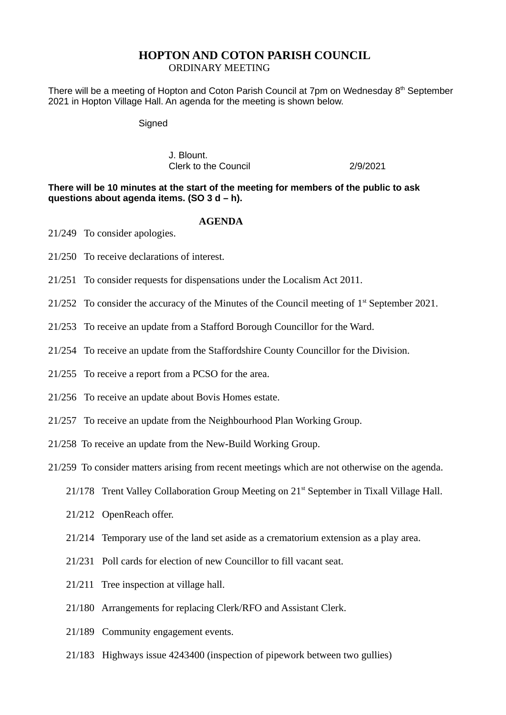## **HOPTON AND COTON PARISH COUNCIL**

ORDINARY MEETING

There will be a meeting of Hopton and Coton Parish Council at 7pm on Wednesday  $8<sup>th</sup>$  September 2021 in Hopton Village Hall. An agenda for the meeting is shown below.

**Signed** 

J. Blount. Clerk to the Council 2/9/2021

**There will be 10 minutes at the start of the meeting for members of the public to ask questions about agenda items. (SO 3 d – h).**

## **AGENDA**

21/249 To consider apologies.

- 21/250 To receive declarations of interest.
- 21/251 To consider requests for dispensations under the Localism Act 2011.
- 21/252 To consider the accuracy of the Minutes of the Council meeting of  $1<sup>st</sup>$  September 2021.
- 21/253 To receive an update from a Stafford Borough Councillor for the Ward.
- 21/254 To receive an update from the Staffordshire County Councillor for the Division.
- 21/255 To receive a report from a PCSO for the area.
- 21/256 To receive an update about Bovis Homes estate.
- 21/257 To receive an update from the Neighbourhood Plan Working Group.
- 21/258 To receive an update from the New-Build Working Group.
- 21/259 To consider matters arising from recent meetings which are not otherwise on the agenda.
	- 21/178 Trent Valley Collaboration Group Meeting on 21<sup>st</sup> September in Tixall Village Hall.
	- 21/212 OpenReach offer.
	- 21/214 Temporary use of the land set aside as a crematorium extension as a play area.
	- 21/231 Poll cards for election of new Councillor to fill vacant seat.
	- 21/211 Tree inspection at village hall.
	- 21/180 Arrangements for replacing Clerk/RFO and Assistant Clerk.
	- 21/189 Community engagement events.
	- 21/183 Highways issue 4243400 (inspection of pipework between two gullies)